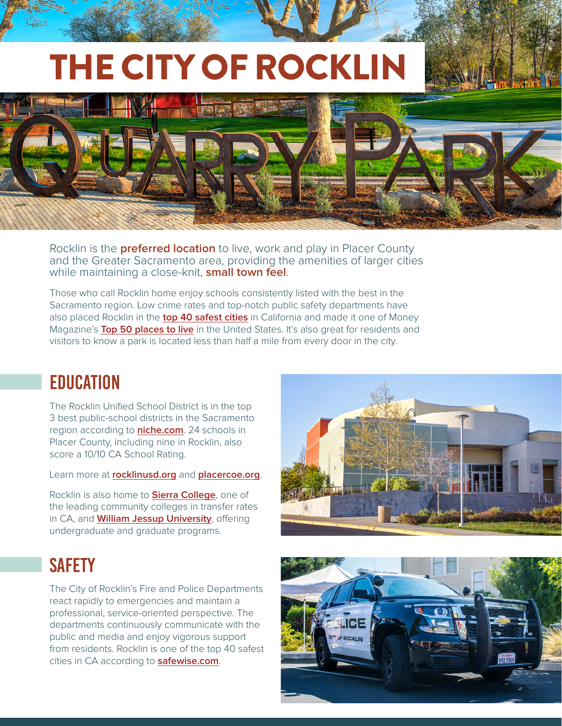# THE CITY OF ROCKLIN



Rocklin is the **preferred location** to live, work and play in Placer County and the Greater Sacramento area, providing the amenities of larger cities while maintaining a close-knit, **small town feel**.

Those who call Rocklin home enjoy schools consistently listed with the best in the Sacramento region. Low crime rates and top-notch public safety departments have also placed Rocklin in the **[top 40 safest cities](https://www.safewise.com/blog/safest-cities-california/)** in California and made it one of Money Magazine's **[Top 50 places to live](https://money.com/collection/best-places-to-live-2021/5746655/rocklin-california-2021/)** in the United States. It's also great for residents and visitors to know a park is located less than half a mile from every door in the city.

#### **EDUCATION**

The Rocklin Unified School District is in the top 3 best public-school districts in the Sacramento region according to **[niche.com](https://www.niche.com/k12/d/rocklin-unified-school-district-ca/rankings/)**. 24 schools in Placer County, including nine in Rocklin, also score a 10/10 CA School Rating.

Learn more at **[rocklinusd.org](http://www.rocklinusd.org/)** and **[placercoe.org](http://www.placercoe.org/)**.

Rocklin is also home to **[Sierra College](https://www.sierracollege.edu/about-us/index.php)**, one of the leading community colleges in transfer rates in CA, and **[William Jessup University](https://jessup.edu/academics/majors-programs/)**, offering undergraduate and graduate programs.

## **SAFFTY**

The City of Rocklin's Fire and Police Departments react rapidly to emergencies and maintain a professional, service-oriented perspective. The departments continuously communicate with the public and media and enjoy vigorous support from residents. Rocklin is one of the top 40 safest cities in CA according to **[safewise.com](https://www.safewise.com/blog/safest-cities-california/)**.